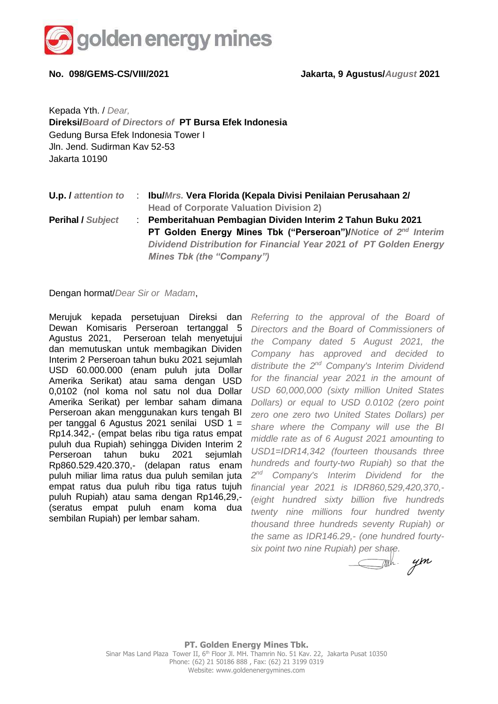

## **No. 098/GEMS-CS/VIII/2021 Jakarta, 9 Agustus/***August* **2021**

Kepada Yth. / *Dear,* **Direksi/***Board of Directors of* **PT Bursa Efek Indonesia** Gedung Bursa Efek Indonesia Tower I Jln. Jend. Sudirman Kav 52-53 Jakarta 10190

**U.p. /** *attention to* : **Ibu/***Mrs.* **Vera Florida (Kepala Divisi Penilaian Perusahaan 2/ Head of Corporate Valuation Division 2)**

**Perihal /** *Subject* : **Pemberitahuan Pembagian Dividen Interim 2 Tahun Buku 2021 PT Golden Energy Mines Tbk ("Perseroan")/***Notice of 2<sup>nd</sup> Interim Dividend Distribution for Financial Year 2021 of PT Golden Energy Mines Tbk (the "Company")*

Dengan hormat/*Dear Sir or Madam*,

Merujuk kepada persetujuan Direksi dan Dewan Komisaris Perseroan tertanggal 5 Agustus 2021, Perseroan telah menyetujui dan memutuskan untuk membagikan Dividen Interim 2 Perseroan tahun buku 2021 sejumlah USD 60.000.000 (enam puluh juta Dollar Amerika Serikat) atau sama dengan USD 0,0102 (nol koma nol satu nol dua Dollar Amerika Serikat) per lembar saham dimana Perseroan akan menggunakan kurs tengah BI per tanggal 6 Agustus 2021 senilai USD 1 = Rp14.342,- (empat belas ribu tiga ratus empat puluh dua Rupiah) sehingga Dividen Interim 2 Perseroan tahun buku 2021 sejumlah Rp860.529.420.370,- (delapan ratus enam puluh miliar lima ratus dua puluh semilan juta empat ratus dua puluh ribu tiga ratus tujuh puluh Rupiah) atau sama dengan Rp146,29,- (seratus empat puluh enam koma dua sembilan Rupiah) per lembar saham.

*Referring to the approval of the Board of Directors and the Board of Commissioners of the Company dated 5 August 2021, the Company has approved and decided to*  distribute the 2<sup>nd</sup> Company's Interim Dividend *for the financial year 2021 in the amount of USD 60,000,000 (sixty million United States Dollars) or equal to USD 0.0102 (zero point zero one zero two United States Dollars) per share where the Company will use the BI middle rate as of 6 August 2021 amounting to USD1=IDR14,342 (fourteen thousands three hundreds and fourty-two Rupiah) so that the 2 nd Company's Interim Dividend for the financial year 2021 is IDR860,529,420,370,- (eight hundred sixty billion five hundreds twenty nine millions four hundred twenty thousand three hundreds seventy Rupiah) or the same as IDR146.29,- (one hundred fourtysix point two nine Rupiah) per share.*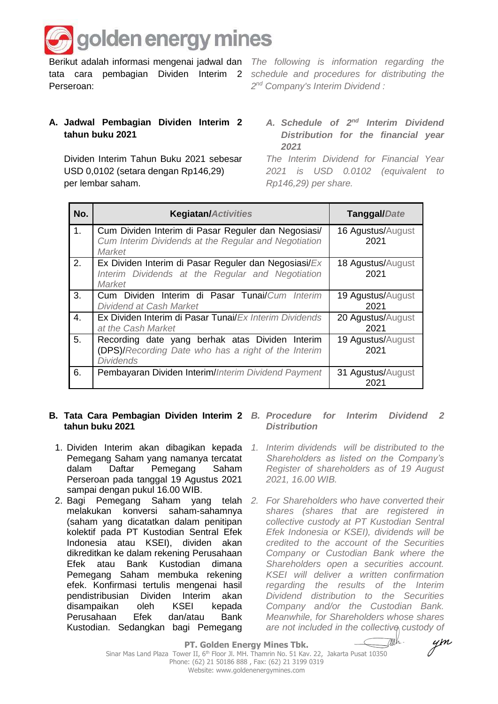

Berikut adalah informasi mengenai jadwal dan *The following is information regarding the*  tata cara pembagian Dividen Interim 2 *schedule and procedures for distributing the*  Perseroan:

*2 nd Company's Interim Dividend :*

# **A. Jadwal Pembagian Dividen Interim 2 tahun buku 2021**

Dividen Interim Tahun Buku 2021 sebesar USD 0,0102 (setara dengan Rp146,29) per lembar saham.

### A. Schedule of 2<sup>nd</sup> Interim Dividend *Distribution for the financial year 2021*

*The Interim Dividend for Financial Year 2021 is USD 0.0102 (equivalent to Rp146,29) per share.*

| No. | <b>Kegiatan/Activities</b>                                                                                                 | <b>Tanggal/Date</b>       |
|-----|----------------------------------------------------------------------------------------------------------------------------|---------------------------|
| 1.  | Cum Dividen Interim di Pasar Reguler dan Negosiasi/<br>Cum Interim Dividends at the Regular and Negotiation<br>Market      | 16 Agustus/August<br>2021 |
| 2.  | Ex Dividen Interim di Pasar Reguler dan Negosiasi/Ex<br>Interim Dividends at the Regular and Negotiation<br>Market         | 18 Agustus/August<br>2021 |
| 3.  | Cum Dividen Interim di Pasar Tunai/Cum Interim<br><b>Dividend at Cash Market</b>                                           | 19 Agustus/August<br>2021 |
| 4.  | Ex Dividen Interim di Pasar Tunai/Ex Interim Dividends<br>at the Cash Market                                               | 20 Agustus/August<br>2021 |
| 5.  | Recording date yang berhak atas Dividen Interim<br>(DPS)/Recording Date who has a right of the Interim<br><b>Dividends</b> | 19 Agustus/August<br>2021 |
| 6.  | Pembayaran Dividen Interim/Interim Dividend Payment                                                                        | 31 Agustus/August<br>2021 |

#### **B. Tata Cara Pembagian Dividen Interim 2** *B. Procedure for Interim Dividend 2* **tahun buku 2021**

- 1. Dividen Interim akan dibagikan kepada Pemegang Saham yang namanya tercatat dalam Daftar Pemegang Saham Perseroan pada tanggal 19 Agustus 2021 sampai dengan pukul 16.00 WIB.
- melakukan konversi saham-sahamnya (saham yang dicatatkan dalam penitipan kolektif pada PT Kustodian Sentral Efek Indonesia atau KSEI), dividen akan dikreditkan ke dalam rekening Perusahaan Efek atau Bank Kustodian dimana Pemegang Saham membuka rekening efek. Konfirmasi tertulis mengenai hasil pendistribusian Dividen Interim akan disampaikan oleh KSEI kepada Perusahaan Efek dan/atau Bank Kustodian. Sedangkan bagi Pemegang

# *Distribution*

- *1. Interim dividends will be distributed to the Shareholders as listed on the Company's Register of shareholders as of 19 August 2021, 16.00 WIB.*
- 2. Bagi Pemegang Saham yang telah *2. For Shareholders who have converted their shares (shares that are registered in collective custody at PT Kustodian Sentral Efek Indonesia or KSEI), dividends will be credited to the account of the Securities Company or Custodian Bank where the Shareholders open a securities account. KSEI will deliver a written confirmation regarding the results of the Interim Dividend distribution to the Securities Company and/or the Custodian Bank. Meanwhile, for Shareholders whose shares are not included in the collective custody of*<br>**Mines Tbk.**<br>*aria No. 51 Yzrange of the collection and min No. 51 Yzrange*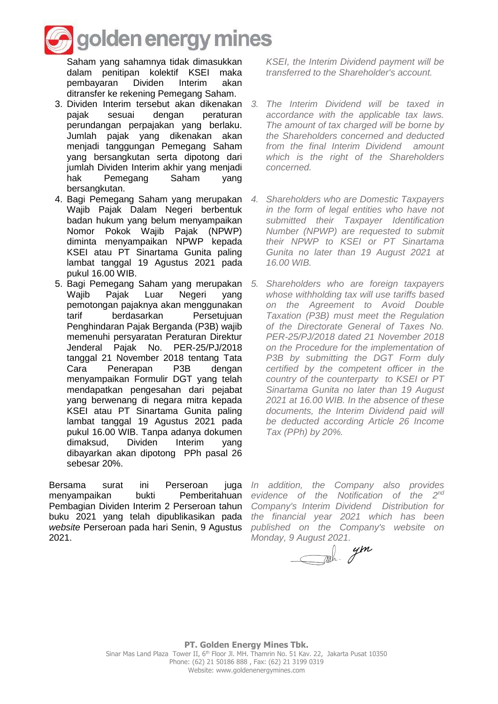

Saham yang sahamnya tidak dimasukkan dalam penitipan kolektif KSEI maka pembayaran Dividen Interim akan ditransfer ke rekening Pemegang Saham.

- 3. Dividen Interim tersebut akan dikenakan pajak sesuai dengan peraturan perundangan perpajakan yang berlaku. Jumlah pajak yang dikenakan akan menjadi tanggungan Pemegang Saham yang bersangkutan serta dipotong dari jumlah Dividen Interim akhir yang menjadi hak Pemegang Saham yang bersangkutan.
- 4. Bagi Pemegang Saham yang merupakan Wajib Pajak Dalam Negeri berbentuk badan hukum yang belum menyampaikan Nomor Pokok Wajib Pajak (NPWP) diminta menyampaikan NPWP kepada KSEI atau PT Sinartama Gunita paling lambat tanggal 19 Agustus 2021 pada pukul 16.00 WIB.
- 5. Bagi Pemegang Saham yang merupakan Wajib Pajak Luar Negeri yang pemotongan pajaknya akan menggunakan tarif berdasarkan Persetujuan Penghindaran Pajak Berganda (P3B) wajib memenuhi persyaratan Peraturan Direktur Jenderal Pajak No. PER-25/PJ/2018 tanggal 21 November 2018 tentang Tata Cara Penerapan P3B dengan menyampaikan Formulir DGT yang telah mendapatkan pengesahan dari pejabat yang berwenang di negara mitra kepada KSEI atau PT Sinartama Gunita paling lambat tanggal 19 Agustus 2021 pada pukul 16.00 WIB. Tanpa adanya dokumen dimaksud, Dividen Interim yang dibayarkan akan dipotong PPh pasal 26 sebesar 20%.

Bersama surat ini Perseroan juga menyampaikan bukti Pemberitahuan Pembagian Dividen Interim 2 Perseroan tahun buku 2021 yang telah dipublikasikan pada *website* Perseroan pada hari Senin, 9 Agustus 2021.

*KSEI, the Interim Dividend payment will be transferred to the Shareholder's account.*

- *3. The Interim Dividend will be taxed in accordance with the applicable tax laws. The amount of tax charged will be borne by the Shareholders concerned and deducted from the final Interim Dividend amount which is the right of the Shareholders concerned.*
- *4. Shareholders who are Domestic Taxpayers in the form of legal entities who have not submitted their Taxpayer Identification Number (NPWP) are requested to submit their NPWP to KSEI or PT Sinartama Gunita no later than 19 August 2021 at 16.00 WIB.*
- *5. Shareholders who are foreign taxpayers whose withholding tax will use tariffs based on the Agreement to Avoid Double Taxation (P3B) must meet the Regulation of the Directorate General of Taxes No. PER-25/PJ/2018 dated 21 November 2018 on the Procedure for the implementation of P3B by submitting the DGT Form duly certified by the competent officer in the country of the counterparty to KSEI or PT Sinartama Gunita no later than 19 August 2021 at 16.00 WIB. In the absence of these documents, the Interim Dividend paid will be deducted according Article 26 Income Tax (PPh) by 20%.*

*In addition, the Company also provides*  evidence of the Notification of the 2<sup>nd</sup> *Company's Interim Dividend Distribution for the financial year 2021 which has been published on the Company's website on* 

*Monday, 9 August 2021.*<br>*Ji*lk. 2000